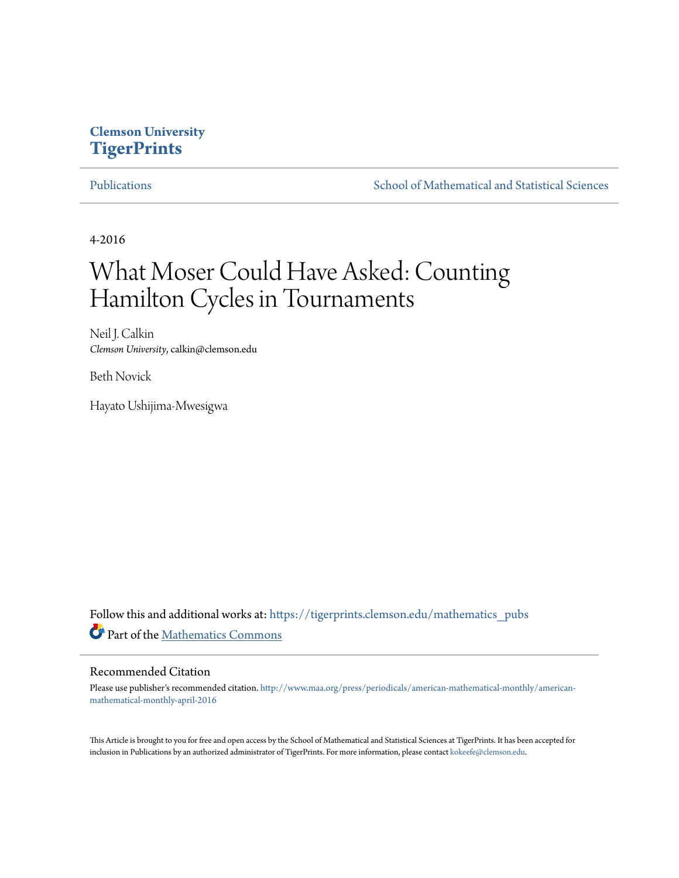# **Clemson University [TigerPrints](https://tigerprints.clemson.edu?utm_source=tigerprints.clemson.edu%2Fmathematics_pubs%2F2&utm_medium=PDF&utm_campaign=PDFCoverPages)**

[Publications](https://tigerprints.clemson.edu/mathematics_pubs?utm_source=tigerprints.clemson.edu%2Fmathematics_pubs%2F2&utm_medium=PDF&utm_campaign=PDFCoverPages) [School of Mathematical and Statistical Sciences](https://tigerprints.clemson.edu/mathematics?utm_source=tigerprints.clemson.edu%2Fmathematics_pubs%2F2&utm_medium=PDF&utm_campaign=PDFCoverPages)

4-2016

# What Moser Could Have Asked: Counting Hamilton Cycles in Tournaments

Neil J. Calkin *Clemson University*, calkin@clemson.edu

Beth Novick

Hayato Ushijima-Mwesigwa

Follow this and additional works at: [https://tigerprints.clemson.edu/mathematics\\_pubs](https://tigerprints.clemson.edu/mathematics_pubs?utm_source=tigerprints.clemson.edu%2Fmathematics_pubs%2F2&utm_medium=PDF&utm_campaign=PDFCoverPages) Part of the [Mathematics Commons](http://network.bepress.com/hgg/discipline/174?utm_source=tigerprints.clemson.edu%2Fmathematics_pubs%2F2&utm_medium=PDF&utm_campaign=PDFCoverPages)

### Recommended Citation

Please use publisher's recommended citation. [http://www.maa.org/press/periodicals/american-mathematical-monthly/american](http://www.maa.org/press/periodicals/american-mathematical-monthly/american-mathematical-monthly-april-2016)[mathematical-monthly-april-2016](http://www.maa.org/press/periodicals/american-mathematical-monthly/american-mathematical-monthly-april-2016)

This Article is brought to you for free and open access by the School of Mathematical and Statistical Sciences at TigerPrints. It has been accepted for inclusion in Publications by an authorized administrator of TigerPrints. For more information, please contact [kokeefe@clemson.edu.](mailto:kokeefe@clemson.edu)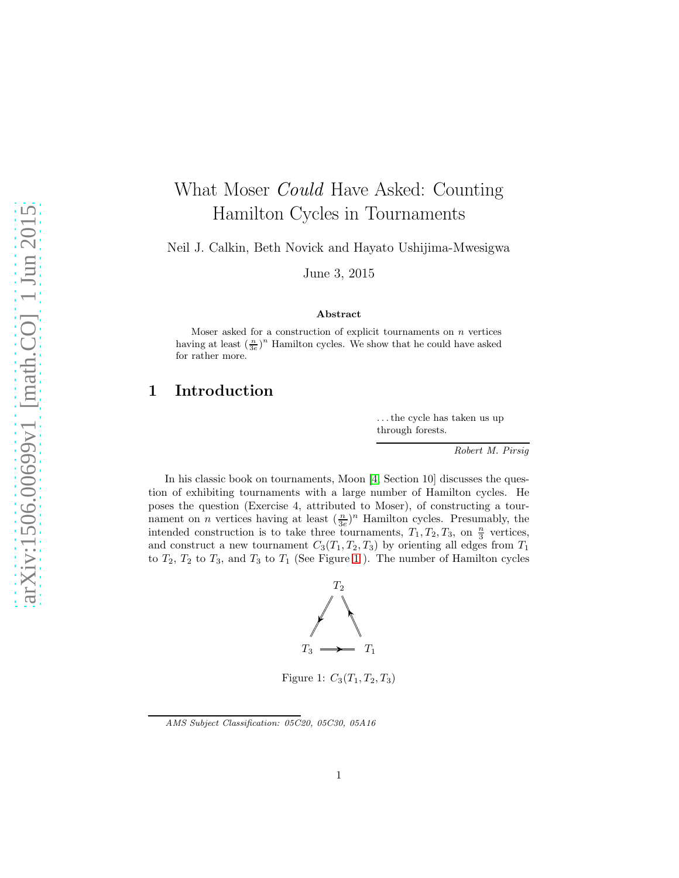# What Moser *Could* Have Asked: Counting Hamilton Cycles in Tournaments

Neil J. Calkin, Beth Novick and Hayato Ushijima-Mwesigwa

June 3, 2015

### Abstract

Moser asked for a construction of explicit tournaments on  $n$  vertices having at least  $(\frac{n}{3e})^n$  Hamilton cycles. We show that he could have asked for rather more.

# 1 Introduction

. . . the cycle has taken us up through forests.

Robert M. Pirsig

In his classic book on tournaments, Moon  $\vert 4$ , Section 10 discusses the question of exhibiting tournaments with a large number of Hamilton cycles. He poses the question (Exercise 4, attributed to Moser), of constructing a tournament on *n* vertices having at least  $(\frac{n}{3e})^n$  Hamilton cycles. Presumably, the intended construction is to take three tournaments,  $T_1, T_2, T_3$ , on  $\frac{n}{3}$  vertices, and construct a new tournament  $C_3(T_1, T_2, T_3)$  by orienting all edges from  $T_1$ to  $T_2$ ,  $T_2$  to  $T_3$ , and  $T_3$  to  $T_1$  (See Figure [1](#page-1-0)). The number of Hamilton cycles



<span id="page-1-0"></span>Figure 1:  $C_3(T_1, T_2, T_3)$ 

AMS Subject Classification: 05C20, 05C30, 05A16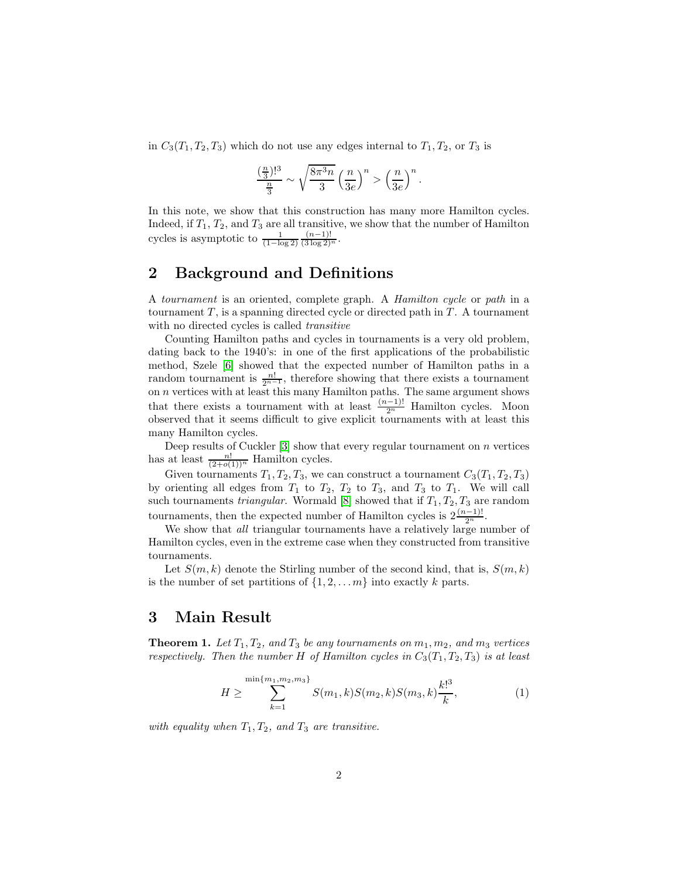in  $C_3(T_1, T_2, T_3)$  which do not use any edges internal to  $T_1, T_2$ , or  $T_3$  is

$$
\frac{\left(\frac{n}{3}\right)!^3}{\frac{n}{3}} \sim \sqrt{\frac{8\pi^3 n}{3}} \left(\frac{n}{3e}\right)^n > \left(\frac{n}{3e}\right)^n
$$

.

In this note, we show that this construction has many more Hamilton cycles. Indeed, if  $T_1, T_2$ , and  $T_3$  are all transitive, we show that the number of Hamilton cycles is asymptotic to  $\frac{1}{(1-\log 2)}$  $\frac{(n-1)!}{(3 \log 2)^n}.$ 

# 2 Background and Definitions

A tournament is an oriented, complete graph. A Hamilton cycle or path in a tournament  $T$ , is a spanning directed cycle or directed path in  $T$ . A tournament with no directed cycles is called transitive

Counting Hamilton paths and cycles in tournaments is a very old problem, dating back to the 1940's: in one of the first applications of the probabilistic method, Szele [\[6\]](#page-4-1) showed that the expected number of Hamilton paths in a random tournament is  $\frac{n!}{2^{n-1}}$ , therefore showing that there exists a tournament on n vertices with at least this many Hamilton paths. The same argument shows that there exists a tournament with at least  $\frac{(n-1)!}{2^n}$  Hamilton cycles. Moon observed that it seems difficult to give explicit tournaments with at least this many Hamilton cycles.

Deep results of Cuckler  $[3]$  show that every regular tournament on n vertices has at least  $\frac{n!}{(2+o(1))^n}$  Hamilton cycles.

Given tournaments  $T_1, T_2, T_3$ , we can construct a tournament  $C_3(T_1, T_2, T_3)$ by orienting all edges from  $T_1$  to  $T_2$ ,  $T_2$  to  $T_3$ , and  $T_3$  to  $T_1$ . We will call such tournaments *triangular*. Wormald [\[8\]](#page-5-0) showed that if  $T_1, T_2, T_3$  are random tournaments, then the expected number of Hamilton cycles is  $2\frac{(n-1)!}{2^n}$ .

We show that *all* triangular tournaments have a relatively large number of Hamilton cycles, even in the extreme case when they constructed from transitive tournaments.

Let  $S(m, k)$  denote the Stirling number of the second kind, that is,  $S(m, k)$ is the number of set partitions of  $\{1, 2, \ldots, m\}$  into exactly k parts.

# 3 Main Result

<span id="page-2-0"></span>**Theorem 1.** Let  $T_1, T_2,$  and  $T_3$  be any tournaments on  $m_1, m_2,$  and  $m_3$  vertices respectively. Then the number H of Hamilton cycles in  $C_3(T_1, T_2, T_3)$  is at least

<span id="page-2-1"></span>
$$
H \geq \sum_{k=1}^{\min\{m_1, m_2, m_3\}} S(m_1, k) S(m_2, k) S(m_3, k) \frac{k!^3}{k},
$$
 (1)

with equality when  $T_1, T_2,$  and  $T_3$  are transitive.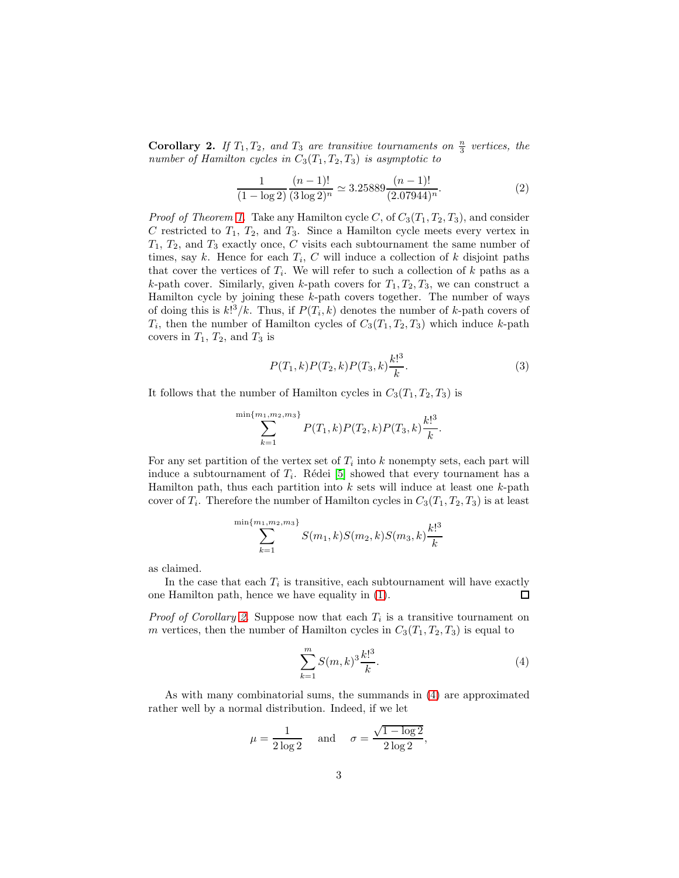<span id="page-3-0"></span>**Corollary 2.** If  $T_1, T_2,$  and  $T_3$  are transitive tournaments on  $\frac{n}{3}$  vertices, the number of Hamilton cycles in  $C_3(T_1, T_2, T_3)$  is asymptotic to

$$
\frac{1}{(1-\log 2)} \frac{(n-1)!}{(3\log 2)^n} \simeq 3.25889 \frac{(n-1)!}{(2.07944)^n}.
$$
 (2)

*Proof of Theorem [1.](#page-2-0)* Take any Hamilton cycle C, of  $C_3(T_1, T_2, T_3)$ , and consider C restricted to  $T_1$ ,  $T_2$ , and  $T_3$ . Since a Hamilton cycle meets every vertex in  $T_1, T_2$ , and  $T_3$  exactly once, C visits each subtournament the same number of times, say k. Hence for each  $T_i$ , C will induce a collection of k disjoint paths that cover the vertices of  $T_i$ . We will refer to such a collection of k paths as a k-path cover. Similarly, given k-path covers for  $T_1, T_2, T_3$ , we can construct a Hamilton cycle by joining these k-path covers together. The number of ways of doing this is  $k!^3/k$ . Thus, if  $P(T_i, k)$  denotes the number of k-path covers of  $T_i$ , then the number of Hamilton cycles of  $C_3(T_1, T_2, T_3)$  which induce k-path covers in  $T_1$ ,  $T_2$ , and  $T_3$  is

$$
P(T_1, k)P(T_2, k)P(T_3, k)\frac{k!^3}{k}.\tag{3}
$$

It follows that the number of Hamilton cycles in  $C_3(T_1, T_2, T_3)$  is

 $\overline{m}$ 

$$
\sum_{k=1}^{\sin\{m_1, m_2, m_3\}} P(T_1, k) P(T_2, k) P(T_3, k) \frac{k!^3}{k}.
$$

For any set partition of the vertex set of  $T_i$  into k nonempty sets, each part will induce a subtournament of  $T_i$ . Rédei [\[5\]](#page-4-3) showed that every tournament has a Hamilton path, thus each partition into  $k$  sets will induce at least one  $k$ -path cover of  $T_i$ . Therefore the number of Hamilton cycles in  $C_3(T_1, T_2, T_3)$  is at least

$$
\sum_{k=1}^{\min\{m_1, m_2, m_3\}} S(m_1, k) S(m_2, k) S(m_3, k) \frac{k!^3}{k}
$$

as claimed.

In the case that each  $T_i$  is transitive, each subtournament will have exactly one Hamilton path, hence we have equality in [\(1\)](#page-2-1).  $\Box$ 

*Proof of Corollary [2.](#page-3-0)* Suppose now that each  $T_i$  is a transitive tournament on m vertices, then the number of Hamilton cycles in  $C_3(T_1, T_2, T_3)$  is equal to

<span id="page-3-1"></span>
$$
\sum_{k=1}^{m} S(m,k)^{3} \frac{k!^{3}}{k}.
$$
 (4)

As with many combinatorial sums, the summands in [\(4\)](#page-3-1) are approximated rather well by a normal distribution. Indeed, if we let

$$
\mu = \frac{1}{2\log 2} \quad \text{ and } \quad \sigma = \frac{\sqrt{1 - \log 2}}{2\log 2},
$$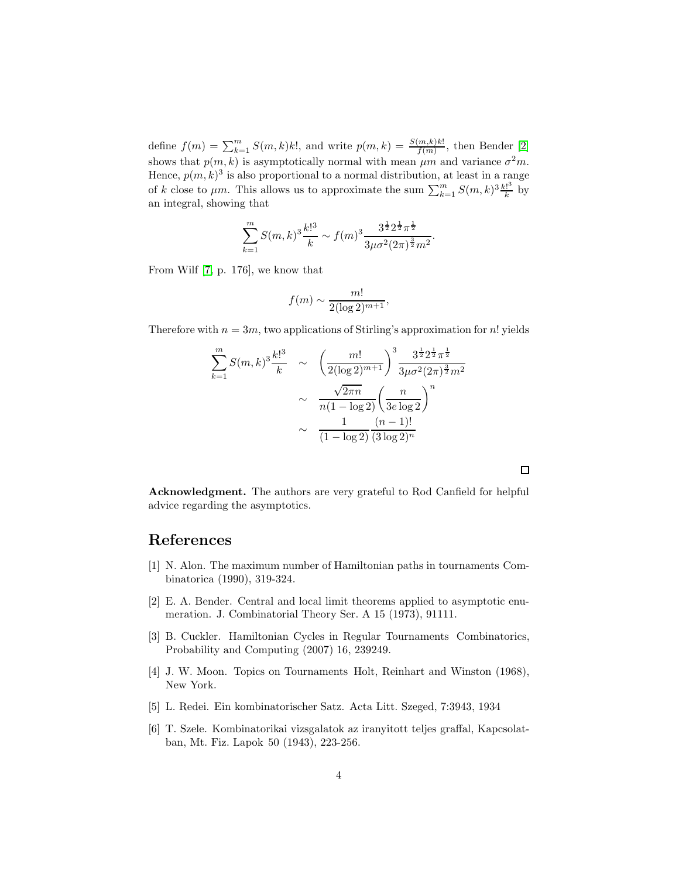define  $f(m) = \sum_{k=1}^{m} S(m,k)k!$ , and write  $p(m,k) = \frac{S(m,k)k!}{f(m)}$ , then Bender [\[2\]](#page-4-4) shows that  $p(m, k)$  is asymptotically normal with mean  $\mu m$  and variance  $\sigma^2 m$ . Hence,  $p(m, k)^3$  is also proportional to a normal distribution, at least in a range of k close to  $\mu$ m. This allows us to approximate the sum  $\sum_{k=1}^{m} S(m, k)^3 \frac{k!^3}{k}$  $\frac{e}{k}$  by an integral, showing that

$$
\sum_{k=1}^{m} S(m,k)^{3} \frac{k!^{3}}{k} \sim f(m)^{3} \frac{3^{\frac{1}{2}} 2^{\frac{1}{2}} \pi^{\frac{1}{2}}}{3 \mu \sigma^{2} (2 \pi)^{\frac{3}{2}} m^{2}}.
$$

From Wilf [\[7,](#page-5-1) p. 176], we know that

$$
f(m) \sim \frac{m!}{2(\log 2)^{m+1}},
$$

Therefore with  $n = 3m$ , two applications of Stirling's approximation for n! yields

$$
\sum_{k=1}^{m} S(m,k)^{3} \frac{k!^{3}}{k} \sim \left(\frac{m!}{2(\log 2)^{m+1}}\right)^{3} \frac{3^{\frac{1}{2}} 2^{\frac{1}{2}} \pi^{\frac{1}{2}}}{3\mu \sigma^{2} (2\pi)^{\frac{3}{2}} m^{2}}
$$

$$
\sim \frac{\sqrt{2\pi n}}{n(1 - \log 2)} \left(\frac{n}{3e \log 2}\right)^{n}
$$

$$
\sim \frac{1}{(1 - \log 2)} \frac{(n-1)!}{(3 \log 2)^{n}}
$$

Acknowledgment. The authors are very grateful to Rod Canfield for helpful advice regarding the asymptotics.

## References

- [1] N. Alon. The maximum number of Hamiltonian paths in tournaments Combinatorica (1990), 319-324.
- <span id="page-4-4"></span>[2] E. A. Bender. Central and local limit theorems applied to asymptotic enumeration. J. Combinatorial Theory Ser. A 15 (1973), 91111.
- <span id="page-4-2"></span>[3] B. Cuckler. Hamiltonian Cycles in Regular Tournaments Combinatorics, Probability and Computing (2007) 16, 239249.
- <span id="page-4-3"></span><span id="page-4-0"></span>[4] J. W. Moon. Topics on Tournaments Holt, Reinhart and Winston (1968), New York.
- <span id="page-4-1"></span>[5] L. Redei. Ein kombinatorischer Satz. Acta Litt. Szeged, 7:3943, 1934
- [6] T. Szele. Kombinatorikai vizsgalatok az iranyitott teljes graffal, Kapcsolatban, Mt. Fiz. Lapok 50 (1943), 223-256.

 $\Box$